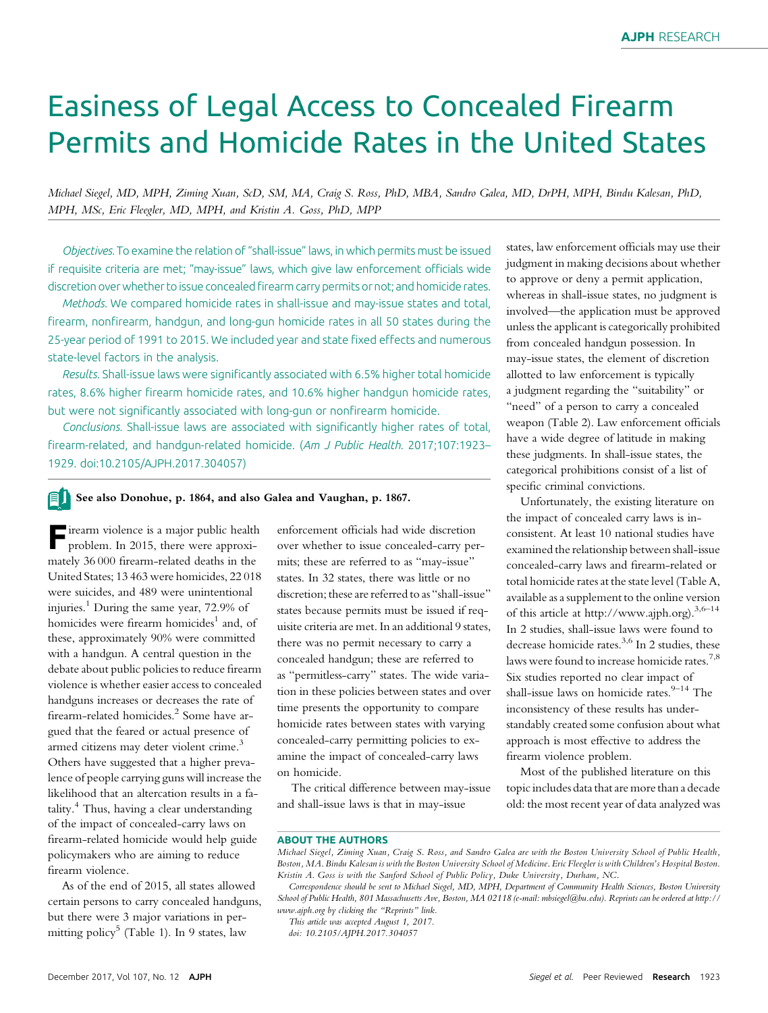# Easiness of Legal Access to Concealed Firearm Permits and Homicide Rates in the United States

Michael Siegel, MD, MPH, Ziming Xuan, ScD, SM, MA, Craig S. Ross, PhD, MBA, Sandro Galea, MD, DrPH, MPH, Bindu Kalesan, PhD, MPH, MSc, Eric Fleegler, MD, MPH, and Kristin A. Goss, PhD, MPP

Objectives. To examine the relation of "shall-issue" laws, in which permits must be issued if requisite criteria are met; "may-issue" laws, which give law enforcement officials wide discretion over whether to issue concealed firearm carry permits or not; and homicide rates.

Methods. We compared homicide rates in shall-issue and may-issue states and total, firearm, nonfirearm, handgun, and long-gun homicide rates in all 50 states during the 25-year period of 1991 to 2015. We included year and state fixed effects and numerous state-level factors in the analysis.

Results. Shall-issue laws were significantly associated with 6.5% higher total homicide rates, 8.6% higher firearm homicide rates, and 10.6% higher handgun homicide rates, but were not significantly associated with long-gun or nonfirearm homicide.

Conclusions. Shall-issue laws are associated with significantly higher rates of total, firearm-related, and handgun-related homicide. (Am J Public Health. 2017;107:1923– 1929. doi:10.2105/AJPH.2017.304057)

#### fi j See also Donohue, p. 1864, and also Galea and Vaughan, p. 1867.

Firearm violence is a major public health problem. In 2015, there were approximately 36 000 firearm-related deaths in the United States; 13 463 were homicides, 22 018 were suicides, and 489 were unintentional injuries.<sup>1</sup> During the same year,  $72.9\%$  of homicides were firearm homicides<sup>1</sup> and, of these, approximately 90% were committed with a handgun. A central question in the debate about public policies to reduce firearm violence is whether easier access to concealed handguns increases or decreases the rate of firearm-related homicides.<sup>2</sup> Some have argued that the feared or actual presence of armed citizens may deter violent crime.<sup>3</sup> Others have suggested that a higher prevalence of people carrying guns will increase the likelihood that an altercation results in a fatality.<sup>4</sup> Thus, having a clear understanding of the impact of concealed-carry laws on firearm-related homicide would help guide policymakers who are aiming to reduce firearm violence.

As of the end of 2015, all states allowed certain persons to carry concealed handguns, but there were 3 major variations in permitting policy<sup>5</sup> (Table 1). In 9 states, law

enforcement officials had wide discretion over whether to issue concealed-carry permits; these are referred to as "may-issue" states. In 32 states, there was little or no discretion; these are referred to as "shall-issue" states because permits must be issued if requisite criteria are met. In an additional 9 states, there was no permit necessary to carry a concealed handgun; these are referred to as "permitless-carry" states. The wide variation in these policies between states and over time presents the opportunity to compare homicide rates between states with varying concealed-carry permitting policies to examine the impact of concealed-carry laws on homicide.

The critical difference between may-issue and shall-issue laws is that in may-issue

states, law enforcement officials may use their judgment in making decisions about whether to approve or deny a permit application, whereas in shall-issue states, no judgment is involved—the application must be approved unless the applicant is categorically prohibited from concealed handgun possession. In may-issue states, the element of discretion allotted to law enforcement is typically a judgment regarding the "suitability" or "need" of a person to carry a concealed weapon (Table 2). Law enforcement officials have a wide degree of latitude in making these judgments. In shall-issue states, the categorical prohibitions consist of a list of specific criminal convictions.

Unfortunately, the existing literature on the impact of concealed carry laws is inconsistent. At least 10 national studies have examined the relationship between shall-issue concealed-carry laws and firearm-related or total homicide rates at the state level (Table A, available as a supplement to the online version of this article at [http://www.ajph.org\)](http://www.ajph.org).3,6–<sup>14</sup> In 2 studies, shall-issue laws were found to decrease homicide rates.<sup>3,6</sup> In 2 studies, these laws were found to increase homicide rates.<sup>7,8</sup> Six studies reported no clear impact of shall-issue laws on homicide rates. $9-14$  The inconsistency of these results has understandably created some confusion about what approach is most effective to address the firearm violence problem.

Most of the published literature on this topic includes data that are more than a decade old: the most recent year of data analyzed was

#### ABOUT THE AUTHORS

doi: 10.2105/AJPH.2017.304057

Michael Siegel, Ziming Xuan, Craig S. Ross, and Sandro Galea are with the Boston University School of Public Health, Boston, MA. Bindu Kalesan is with the Boston University School of Medicine. Eric Fleegler is with Children's Hospital Boston. Kristin A. Goss is with the Sanford School of Public Policy, Duke University, Durham, NC.

Correspondence should be sent to Michael Siegel, MD, MPH, Department of Community Health Sciences, Boston University School of Public Health, 801 Massachusetts Ave, Boston, MA 02118 (e-mail: [mbsiegel@bu.edu](mailto:mbsiegel@bu.edu)). Reprints can be ordered at [http://](http://www.ajph.org) [www.ajph.org](http://www.ajph.org) by clicking the "Reprints" link.

This article was accepted August 1, 2017.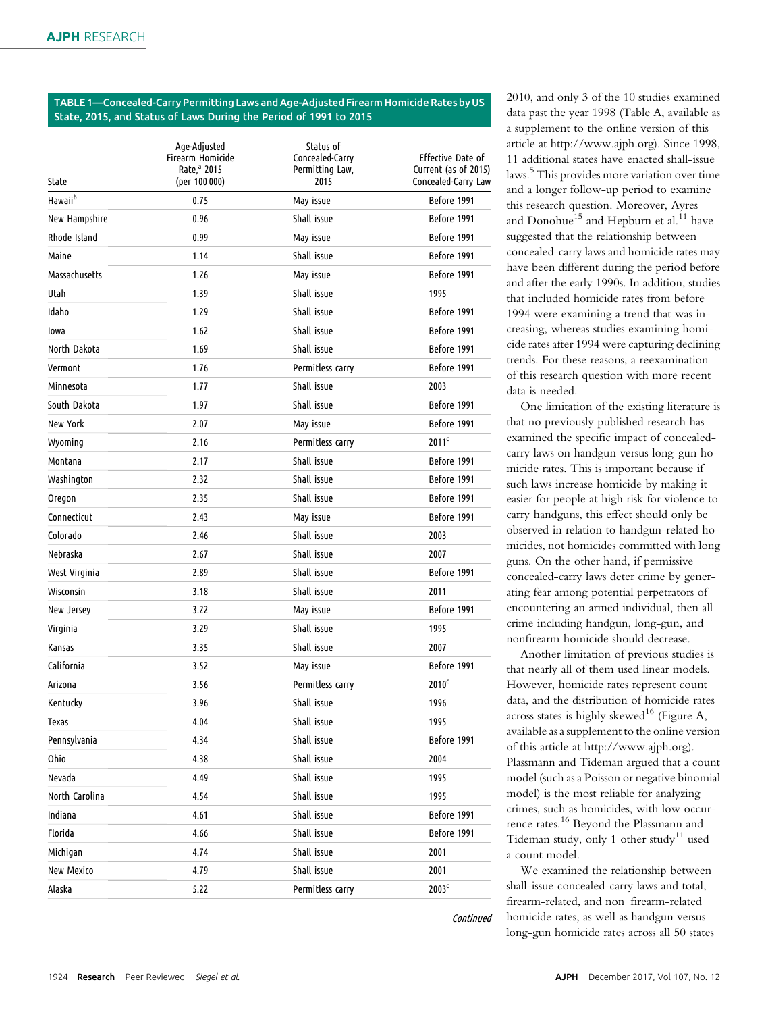### TABLE 1—Concealed-Carry Permitting Laws and Age-Adjusted Firearm Homicide Rates by US State, 2015, and Status of Laws During the Period of 1991 to 2015

| State               | Age-Adjusted<br>Firearm Homicide<br>Rate, <sup>a</sup> 2015<br>(per 100 000) | Status of<br>Concealed-Carry<br>Permitting Law,<br>2015 | Effective Date of<br>Current (as of 2015)<br>Concealed-Carry Law |
|---------------------|------------------------------------------------------------------------------|---------------------------------------------------------|------------------------------------------------------------------|
| Hawaii <sup>b</sup> | 0.75                                                                         | May issue                                               | Before 1991                                                      |
| New Hampshire       | 0.96                                                                         | Shall issue                                             | Before 1991                                                      |
| Rhode Island        | 0.99                                                                         | May issue                                               | Before 1991                                                      |
| Maine               | 1.14                                                                         | Shall issue                                             | Before 1991                                                      |
| Massachusetts       | 1.26                                                                         | May issue                                               | Before 1991                                                      |
| Utah                | 1.39                                                                         | Shall issue                                             | 1995                                                             |
| Idaho               | 1.29                                                                         | Shall issue                                             | Before 1991                                                      |
| lowa                | 1.62                                                                         | Shall issue                                             | Before 1991                                                      |
| North Dakota        | 1.69                                                                         | Shall issue                                             | Before 1991                                                      |
| Vermont             | 1.76                                                                         | Permitless carry                                        | Before 1991                                                      |
| Minnesota           | 1.77                                                                         | Shall issue                                             | 2003                                                             |
| South Dakota        | 1.97                                                                         | Shall issue                                             | Before 1991                                                      |
| New York            | 2.07                                                                         | May issue                                               | Before 1991                                                      |
| Wyoming             | 2.16                                                                         | Permitless carry                                        | 2011 <sup>c</sup>                                                |
| Montana             | 2.17                                                                         | Shall issue                                             | Before 1991                                                      |
| Washington          | 2.32                                                                         | Shall issue                                             | Before 1991                                                      |
| Oregon              | 2.35                                                                         | Shall issue                                             | Before 1991                                                      |
| Connecticut         | 2.43                                                                         | May issue                                               | Before 1991                                                      |
| Colorado            | 2.46                                                                         | Shall issue                                             | 2003                                                             |
| Nebraska            | 2.67                                                                         | Shall issue                                             | 2007                                                             |
| West Virginia       | 2.89                                                                         | Shall issue                                             | Before 1991                                                      |
| Wisconsin           | 3.18                                                                         | Shall issue                                             | 2011                                                             |
| New Jersey          | 3.22                                                                         | May issue                                               | Before 1991                                                      |
| Virginia            | 3.29                                                                         | Shall issue                                             | 1995                                                             |
| Kansas              | 3.35                                                                         | Shall issue                                             | 2007                                                             |
| California          | 3.52                                                                         | May issue                                               | Before 1991                                                      |
| Arizona             | 3.56                                                                         | Permitless carry                                        | 2010 <sup>c</sup>                                                |
| Kentucky            | 3.96                                                                         | Shall issue                                             | 1996                                                             |
| Texas               | 4.04                                                                         | Shall issue                                             | 1995                                                             |
| Pennsylvania        | 4.34                                                                         | Shall issue                                             | Before 1991                                                      |
| Ohio                | 4.38                                                                         | Shall issue                                             | 2004                                                             |
| Nevada              | 4.49                                                                         | Shall issue                                             | 1995                                                             |
| North Carolina      | 4.54                                                                         | Shall issue                                             | 1995                                                             |
| Indiana             | 4.61                                                                         | Shall issue                                             | Before 1991                                                      |
| Florida             | 4.66                                                                         | Shall issue                                             | Before 1991                                                      |
| Michigan            | 4.74                                                                         | Shall issue                                             | 2001                                                             |
| New Mexico          | 4.79                                                                         | Shall issue                                             | 2001                                                             |
| Alaska              | 5.22                                                                         | Permitless carry                                        | 2003 <sup>c</sup>                                                |

2010, and only 3 of the 10 studies examined data past the year 1998 (Table A, available as a supplement to the online version of this article at [http://www.ajph.org\)](http://www.ajph.org). Since 1998, 11 additional states have enacted shall-issue laws.<sup>5</sup> This provides more variation over time and a longer follow-up period to examine this research question. Moreover, Ayres and Donohue<sup>15</sup> and Hepburn et al.<sup>11</sup> have suggested that the relationship between concealed-carry laws and homicide rates may have been different during the period before and after the early 1990s. In addition, studies that included homicide rates from before 1994 were examining a trend that was increasing, whereas studies examining homicide rates after 1994 were capturing declining trends. For these reasons, a reexamination of this research question with more recent data is needed.

One limitation of the existing literature is that no previously published research has examined the specific impact of concealedcarry laws on handgun versus long-gun homicide rates. This is important because if such laws increase homicide by making it easier for people at high risk for violence to carry handguns, this effect should only be observed in relation to handgun-related homicides, not homicides committed with long guns. On the other hand, if permissive concealed-carry laws deter crime by generating fear among potential perpetrators of encountering an armed individual, then all crime including handgun, long-gun, and nonfirearm homicide should decrease.

Another limitation of previous studies is that nearly all of them used linear models. However, homicide rates represent count data, and the distribution of homicide rates across states is highly skewed<sup>16</sup> (Figure A, available as a supplement to the online version of this article at [http://www.ajph.org\)](http://www.ajph.org). Plassmann and Tideman argued that a count model (such as a Poisson or negative binomial model) is the most reliable for analyzing crimes, such as homicides, with low occurrence rates.<sup>16</sup> Beyond the Plassmann and Tideman study, only 1 other study<sup>11</sup> used a count model.

We examined the relationship between shall-issue concealed-carry laws and total, firearm-related, and non–firearm-related homicide rates, as well as handgun versus long-gun homicide rates across all 50 states

**Continued**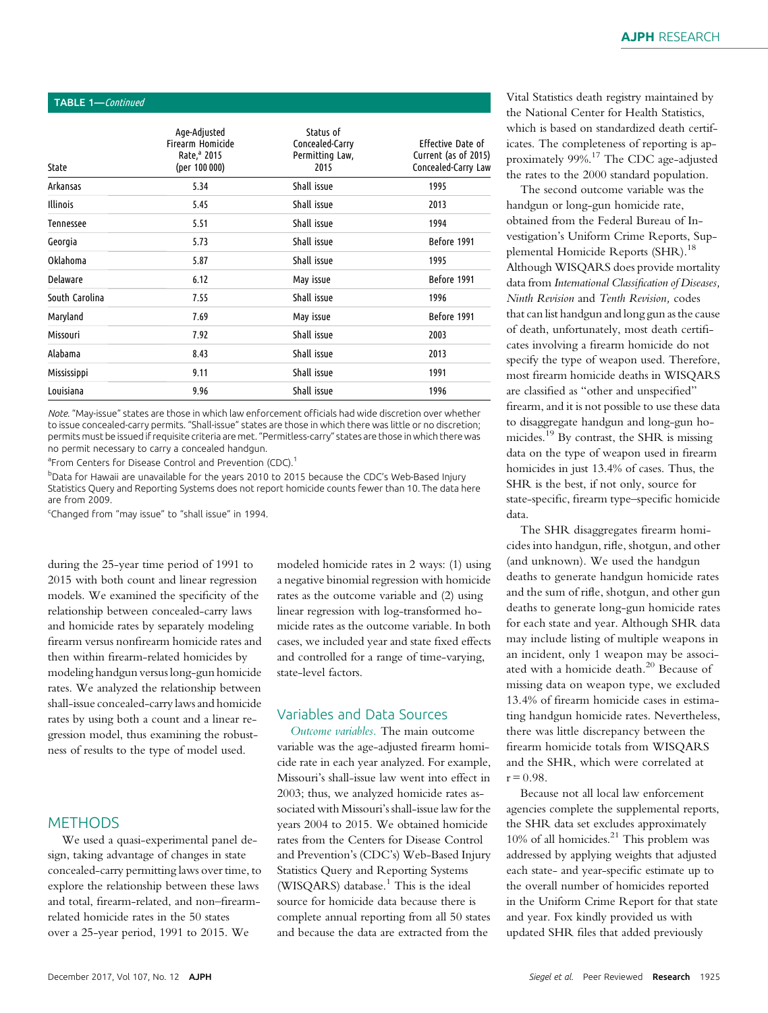| TABLE 1-Continued |                                                                                     |                                                         |                                                                  |  |  |
|-------------------|-------------------------------------------------------------------------------------|---------------------------------------------------------|------------------------------------------------------------------|--|--|
| State             | Age-Adjusted<br><b>Firearm Homicide</b><br>Rate, <sup>a</sup> 2015<br>(per 100 000) | Status of<br>Concealed-Carry<br>Permitting Law,<br>2015 | Effective Date of<br>Current (as of 2015)<br>Concealed-Carry Law |  |  |
| Arkansas          | 5.34                                                                                | Shall issue                                             | 1995                                                             |  |  |
| <b>Illinois</b>   | 5.45                                                                                | Shall issue                                             | 2013                                                             |  |  |
| Tennessee         | 5.51                                                                                | Shall issue                                             | 1994                                                             |  |  |
| Georgia           | 5.73                                                                                | Shall issue                                             | Before 1991                                                      |  |  |
| Oklahoma          | 5.87                                                                                | Shall issue                                             | 1995                                                             |  |  |
| <b>Delaware</b>   | 6.12                                                                                | May issue                                               | Before 1991                                                      |  |  |
| South Carolina    | 7.55                                                                                | Shall issue                                             | 1996                                                             |  |  |
| Maryland          | 7.69                                                                                | May issue                                               | Before 1991                                                      |  |  |
| Missouri          | 7.92                                                                                | Shall issue                                             | 2003                                                             |  |  |
| Alabama           | 8.43                                                                                | Shall issue                                             | 2013                                                             |  |  |
| Mississippi       | 9.11                                                                                | Shall issue                                             | 1991                                                             |  |  |
| Louisiana         | 9.96                                                                                | Shall issue                                             | 1996                                                             |  |  |

Note. "May-issue" states are those in which law enforcement officials had wide discretion over whether to issue concealed-carry permits. "Shall-issue" states are those in which there was little or no discretion; permits must be issued if requisite criteria are met."Permitless-carry" states are those in which there was no permit necessary to carry a concealed handgun.

<sup>a</sup> From Centers for Disease Control and Prevention (CDC).<sup>1</sup>

b Data for Hawaii are unavailable for the years 2010 to 2015 because the CDC's Web-Based Injury Statistics Query and Reporting Systems does not report homicide counts fewer than 10. The data here are from 2009.

<sup>c</sup>Changed from "may issue" to "shall issue" in 1994.

during the 25-year time period of 1991 to 2015 with both count and linear regression models. We examined the specificity of the relationship between concealed-carry laws and homicide rates by separately modeling firearm versus nonfirearm homicide rates and then within firearm-related homicides by modeling handgun versus long-gun homicide rates. We analyzed the relationship between shall-issue concealed-carry laws and homicide rates by using both a count and a linear regression model, thus examining the robustness of results to the type of model used.

## **METHODS**

We used a quasi-experimental panel design, taking advantage of changes in state concealed-carry permitting laws over time, to explore the relationship between these laws and total, firearm-related, and non–firearmrelated homicide rates in the 50 states over a 25-year period, 1991 to 2015. We

modeled homicide rates in 2 ways: (1) using a negative binomial regression with homicide rates as the outcome variable and (2) using linear regression with log-transformed homicide rates as the outcome variable. In both cases, we included year and state fixed effects and controlled for a range of time-varying, state-level factors.

## Variables and Data Sources

Outcome variables. The main outcome variable was the age-adjusted firearm homicide rate in each year analyzed. For example, Missouri's shall-issue law went into effect in 2003; thus, we analyzed homicide rates associated with Missouri's shall-issue law for the years 2004 to 2015. We obtained homicide rates from the Centers for Disease Control and Prevention's (CDC's) Web-Based Injury Statistics Query and Reporting Systems (WISQARS) database.<sup>1</sup> This is the ideal source for homicide data because there is complete annual reporting from all 50 states and because the data are extracted from the

Vital Statistics death registry maintained by the National Center for Health Statistics, which is based on standardized death certificates. The completeness of reporting is approximately 99%.<sup>17</sup> The CDC age-adjusted the rates to the 2000 standard population.

The second outcome variable was the handgun or long-gun homicide rate, obtained from the Federal Bureau of Investigation's Uniform Crime Reports, Supplemental Homicide Reports (SHR).<sup>18</sup> Although WISQARS does provide mortality data from International Classification of Diseases, Ninth Revision and Tenth Revision, codes that can list handgun and long gun as the cause of death, unfortunately, most death certificates involving a firearm homicide do not specify the type of weapon used. Therefore, most firearm homicide deaths in WISQARS are classified as "other and unspecified" firearm, and it is not possible to use these data to disaggregate handgun and long-gun homicides.<sup>19</sup> By contrast, the SHR is missing data on the type of weapon used in firearm homicides in just 13.4% of cases. Thus, the SHR is the best, if not only, source for state-specific, firearm type–specific homicide data.

The SHR disaggregates firearm homicides into handgun, rifle, shotgun, and other (and unknown). We used the handgun deaths to generate handgun homicide rates and the sum of rifle, shotgun, and other gun deaths to generate long-gun homicide rates for each state and year. Although SHR data may include listing of multiple weapons in an incident, only 1 weapon may be associated with a homicide death.<sup>20</sup> Because of missing data on weapon type, we excluded 13.4% of firearm homicide cases in estimating handgun homicide rates. Nevertheless, there was little discrepancy between the firearm homicide totals from WISQARS and the SHR, which were correlated at  $r = 0.98$ .

Because not all local law enforcement agencies complete the supplemental reports, the SHR data set excludes approximately 10% of all homicides.<sup>21</sup> This problem was addressed by applying weights that adjusted each state- and year-specific estimate up to the overall number of homicides reported in the Uniform Crime Report for that state and year. Fox kindly provided us with updated SHR files that added previously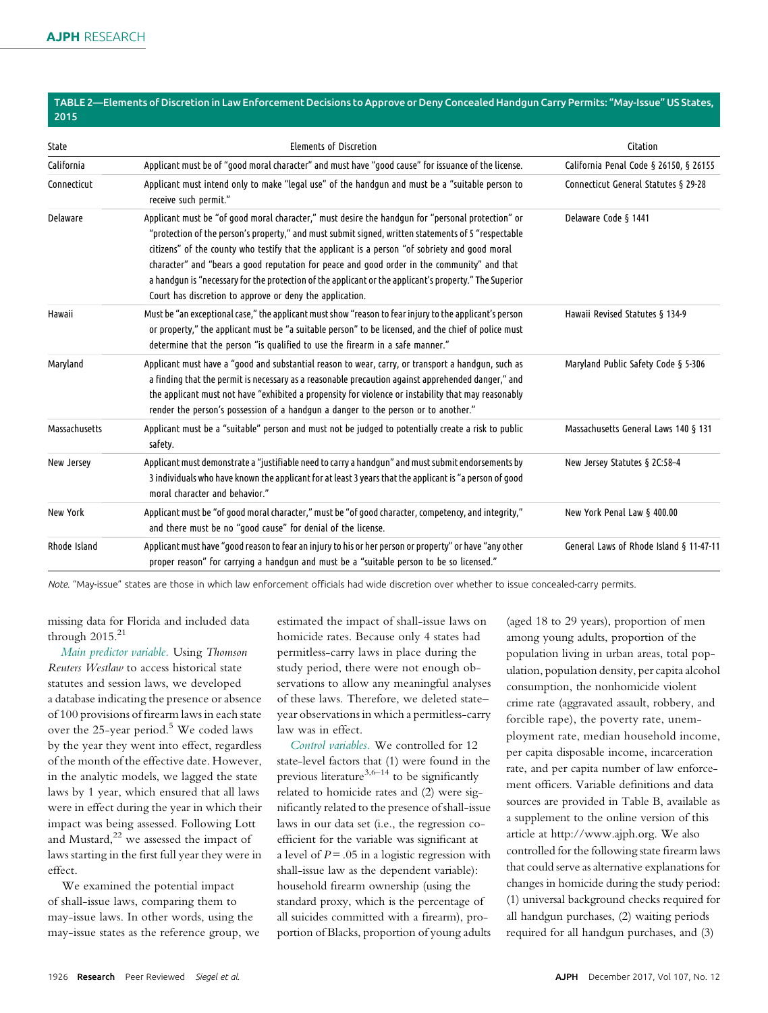#### TABLE 2—Elements of Discretion in Law Enforcement Decisions to Approve or Deny Concealed Handgun Carry Permits: "May-Issue"US States, 2015

| State         | <b>Elements of Discretion</b>                                                                                                                                                                                                                                                                                                                                                                                                                                                                                                                                                   | Citation                                |
|---------------|---------------------------------------------------------------------------------------------------------------------------------------------------------------------------------------------------------------------------------------------------------------------------------------------------------------------------------------------------------------------------------------------------------------------------------------------------------------------------------------------------------------------------------------------------------------------------------|-----------------------------------------|
| California    | Applicant must be of "good moral character" and must have "good cause" for issuance of the license.                                                                                                                                                                                                                                                                                                                                                                                                                                                                             | California Penal Code § 26150, § 26155  |
| Connecticut   | Applicant must intend only to make "legal use" of the handgun and must be a "suitable person to<br>receive such permit."                                                                                                                                                                                                                                                                                                                                                                                                                                                        | Connecticut General Statutes § 29-28    |
| Delaware      | Applicant must be "of good moral character," must desire the handgun for "personal protection" or<br>"protection of the person's property," and must submit signed, written statements of 5 "respectable<br>citizens" of the county who testify that the applicant is a person "of sobriety and good moral<br>character" and "bears a good reputation for peace and good order in the community" and that<br>a handgun is "necessary for the protection of the applicant or the applicant's property." The Superior<br>Court has discretion to approve or deny the application. | Delaware Code § 1441                    |
| Hawaii        | Must be "an exceptional case," the applicant must show "reason to fear injury to the applicant's person<br>or property," the applicant must be "a suitable person" to be licensed, and the chief of police must<br>determine that the person "is qualified to use the firearm in a safe manner."                                                                                                                                                                                                                                                                                | Hawaii Revised Statutes § 134-9         |
| Maryland      | Applicant must have a "good and substantial reason to wear, carry, or transport a handgun, such as<br>a finding that the permit is necessary as a reasonable precaution against apprehended danger," and<br>the applicant must not have "exhibited a propensity for violence or instability that may reasonably<br>render the person's possession of a handgun a danger to the person or to another."                                                                                                                                                                           | Maryland Public Safety Code § 5-306     |
| Massachusetts | Applicant must be a "suitable" person and must not be judged to potentially create a risk to public<br>safety.                                                                                                                                                                                                                                                                                                                                                                                                                                                                  | Massachusetts General Laws 140 § 131    |
| New Jersey    | Applicant must demonstrate a "justifiable need to carry a handqun" and must submit endorsements by<br>3 individuals who have known the applicant for at least 3 years that the applicant is "a person of good<br>moral character and behavior."                                                                                                                                                                                                                                                                                                                                 | New Jersey Statutes § 2C:58-4           |
| New York      | "Applicant must be "of good moral character," must be "of good character, competency, and integrity,<br>and there must be no "good cause" for denial of the license.                                                                                                                                                                                                                                                                                                                                                                                                            | New York Penal Law § 400.00             |
| Rhode Island  | Applicant must have "good reason to fear an injury to his or her person or property" or have "any other<br>proper reason" for carrying a handqun and must be a "suitable person to be so licensed."                                                                                                                                                                                                                                                                                                                                                                             | General Laws of Rhode Island § 11-47-11 |

Note. "May-issue" states are those in which law enforcement officials had wide discretion over whether to issue concealed-carry permits.

missing data for Florida and included data through  $2015.<sup>21</sup>$ 

Main predictor variable. Using Thomson Reuters Westlaw to access historical state statutes and session laws, we developed a database indicating the presence or absence of 100 provisions of firearm laws in each state over the  $25$ -year period.<sup>5</sup> We coded laws by the year they went into effect, regardless of the month of the effective date. However, in the analytic models, we lagged the state laws by 1 year, which ensured that all laws were in effect during the year in which their impact was being assessed. Following Lott and Mustard, $22$  we assessed the impact of laws starting in the first full year they were in effect.

We examined the potential impact of shall-issue laws, comparing them to may-issue laws. In other words, using the may-issue states as the reference group, we estimated the impact of shall-issue laws on homicide rates. Because only 4 states had permitless-carry laws in place during the study period, there were not enough observations to allow any meaningful analyses of these laws. Therefore, we deleted state– year observations in which a permitless-carry law was in effect.

Control variables. We controlled for 12 state-level factors that (1) were found in the previous literature<sup>3,6–14</sup> to be significantly related to homicide rates and (2) were significantly related to the presence of shall-issue laws in our data set (i.e., the regression coefficient for the variable was significant at a level of  $P = .05$  in a logistic regression with shall-issue law as the dependent variable): household firearm ownership (using the standard proxy, which is the percentage of all suicides committed with a firearm), proportion of Blacks, proportion of young adults

(aged 18 to 29 years), proportion of men among young adults, proportion of the population living in urban areas, total population, population density, per capita alcohol consumption, the nonhomicide violent crime rate (aggravated assault, robbery, and forcible rape), the poverty rate, unemployment rate, median household income, per capita disposable income, incarceration rate, and per capita number of law enforcement officers. Variable definitions and data sources are provided in Table B, available as a supplement to the online version of this article at [http://www.ajph.org.](http://www.ajph.org) We also controlled for the following state firearm laws that could serve as alternative explanations for changes in homicide during the study period: (1) universal background checks required for all handgun purchases, (2) waiting periods required for all handgun purchases, and (3)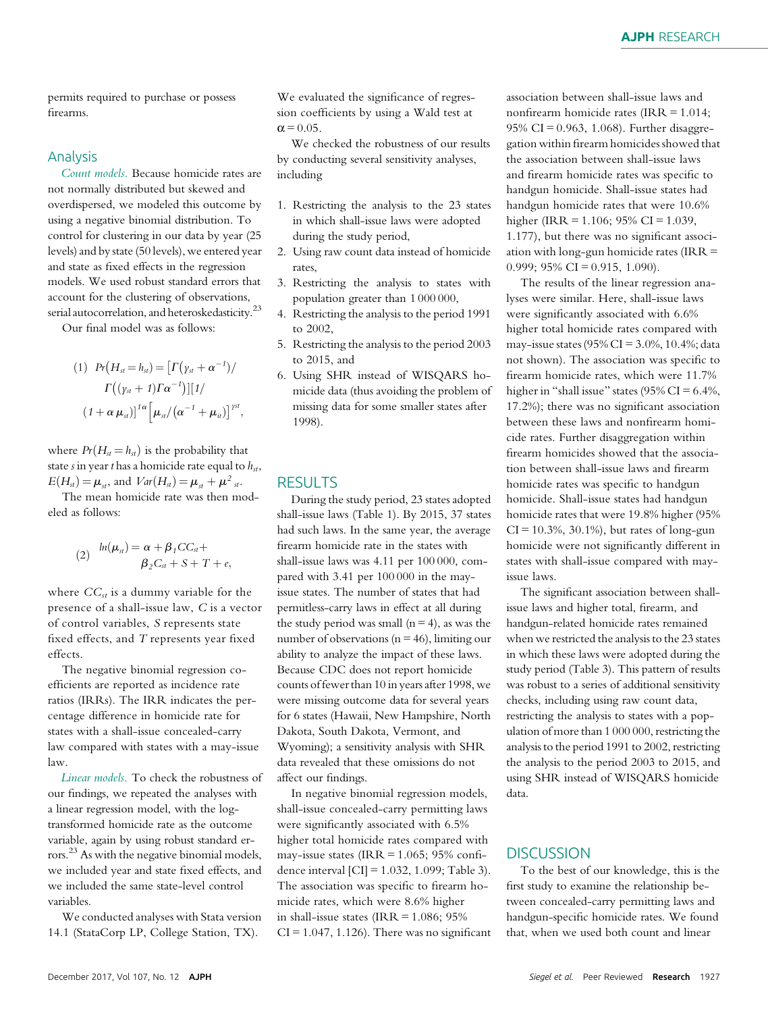permits required to purchase or possess firearms.

### Analysis

Count models. Because homicide rates are not normally distributed but skewed and overdispersed, we modeled this outcome by using a negative binomial distribution. To control for clustering in our data by year (25 levels) and by state (50 levels), we entered year and state as fixed effects in the regression models. We used robust standard errors that account for the clustering of observations, serial autocorrelation, and heteroskedasticity.<sup>23</sup>

Our final model was as follows:

$$
(1) \quad Pr\big(H_{st} = h_{st}\big) = \big[\Gamma\big(\gamma_{st} + \alpha^{-1}\big)\big/
$$

$$
\Gamma\big((\gamma_{st} + 1)\Gamma\alpha^{-1}\big)\big]\big[1/\right.
$$

$$
(1 + \alpha \mu_{st})\big]^{1\alpha} \big[\mu_{st}/\big(\alpha^{-1} + \mu_{it}\big)\big]^{sst},
$$

where  $Pr(H_{st} = h_{st})$  is the probability that state s in year t has a homicide rate equal to  $h_{st}$ ,  $E(H<sub>st</sub>) = \mu<sub>st</sub>$ , and  $Var(H<sub>st</sub>) = \mu<sub>st</sub> + \mu<sup>2</sup>$ <sub>st</sub>.

The mean homicide rate was then modeled as follows:

$$
(2) \quad \ln(\mu_{st}) = \alpha + \beta_1 CC_{st} +
$$
\n
$$
\beta_2 C_{st} + S + T + e,
$$

where  $CC_{st}$  is a dummy variable for the presence of a shall-issue law, C is a vector of control variables, S represents state fixed effects, and T represents year fixed effects.

The negative binomial regression coefficients are reported as incidence rate ratios (IRRs). The IRR indicates the percentage difference in homicide rate for states with a shall-issue concealed-carry law compared with states with a may-issue law.

Linear models. To check the robustness of our findings, we repeated the analyses with a linear regression model, with the logtransformed homicide rate as the outcome variable, again by using robust standard errors.<sup>23</sup> As with the negative binomial models, we included year and state fixed effects, and we included the same state-level control variables.

We conducted analyses with Stata version 14.1 (StataCorp LP, College Station, TX).

We evaluated the significance of regression coefficients by using a Wald test at  $\alpha$  = 0.05.

We checked the robustness of our results by conducting several sensitivity analyses, including

- 1. Restricting the analysis to the 23 states in which shall-issue laws were adopted during the study period,
- 2. Using raw count data instead of homicide rates,
- 3. Restricting the analysis to states with population greater than 1 000 000,
- 4. Restricting the analysis to the period 1991 to 2002,
- 5. Restricting the analysis to the period 2003 to 2015, and
- 6. Using SHR instead of WISQARS homicide data (thus avoiding the problem of missing data for some smaller states after 1998).

## RESULTS

During the study period, 23 states adopted shall-issue laws (Table 1). By 2015, 37 states had such laws. In the same year, the average firearm homicide rate in the states with shall-issue laws was 4.11 per 100 000, compared with 3.41 per 100 000 in the mayissue states. The number of states that had permitless-carry laws in effect at all during the study period was small  $(n = 4)$ , as was the number of observations ( $n = 46$ ), limiting our ability to analyze the impact of these laws. Because CDC does not report homicide counts of fewer than 10 in years after 1998, we were missing outcome data for several years for 6 states (Hawaii, New Hampshire, North Dakota, South Dakota, Vermont, and Wyoming); a sensitivity analysis with SHR data revealed that these omissions do not affect our findings.

In negative binomial regression models, shall-issue concealed-carry permitting laws were significantly associated with 6.5% higher total homicide rates compared with may-issue states (IRR =  $1.065$ ; 95% confidence interval [CI] = 1.032, 1.099; Table 3). The association was specific to firearm homicide rates, which were 8.6% higher in shall-issue states (IRR =  $1.086$ ;  $95\%$  $CI = 1.047, 1.126$ . There was no significant association between shall-issue laws and nonfirearm homicide rates (IRR = 1.014; 95% CI =  $0.963$ , 1.068). Further disaggregation within firearm homicides showed that the association between shall-issue laws and firearm homicide rates was specific to handgun homicide. Shall-issue states had handgun homicide rates that were 10.6% higher (IRR = 1.106; 95% CI = 1.039, 1.177), but there was no significant association with long-gun homicide rates (IRR = 0.999; 95% CI = 0.915, 1.090).

The results of the linear regression analyses were similar. Here, shall-issue laws were significantly associated with 6.6% higher total homicide rates compared with may-issue states (95% CI = 3.0%, 10.4%; data not shown). The association was specific to firearm homicide rates, which were 11.7% higher in "shall issue" states (95% CI =  $6.4\%$ , 17.2%); there was no significant association between these laws and nonfirearm homicide rates. Further disaggregation within firearm homicides showed that the association between shall-issue laws and firearm homicide rates was specific to handgun homicide. Shall-issue states had handgun homicide rates that were 19.8% higher (95%  $CI = 10.3\%, 30.1\%$ , but rates of long-gun homicide were not significantly different in states with shall-issue compared with mayissue laws.

The significant association between shallissue laws and higher total, firearm, and handgun-related homicide rates remained when we restricted the analysis to the 23 states in which these laws were adopted during the study period (Table 3). This pattern of results was robust to a series of additional sensitivity checks, including using raw count data, restricting the analysis to states with a population of more than 1 000 000, restricting the analysis to the period 1991 to 2002, restricting the analysis to the period 2003 to 2015, and using SHR instead of WISQARS homicide data.

## **DISCUSSION**

To the best of our knowledge, this is the first study to examine the relationship between concealed-carry permitting laws and handgun-specific homicide rates. We found that, when we used both count and linear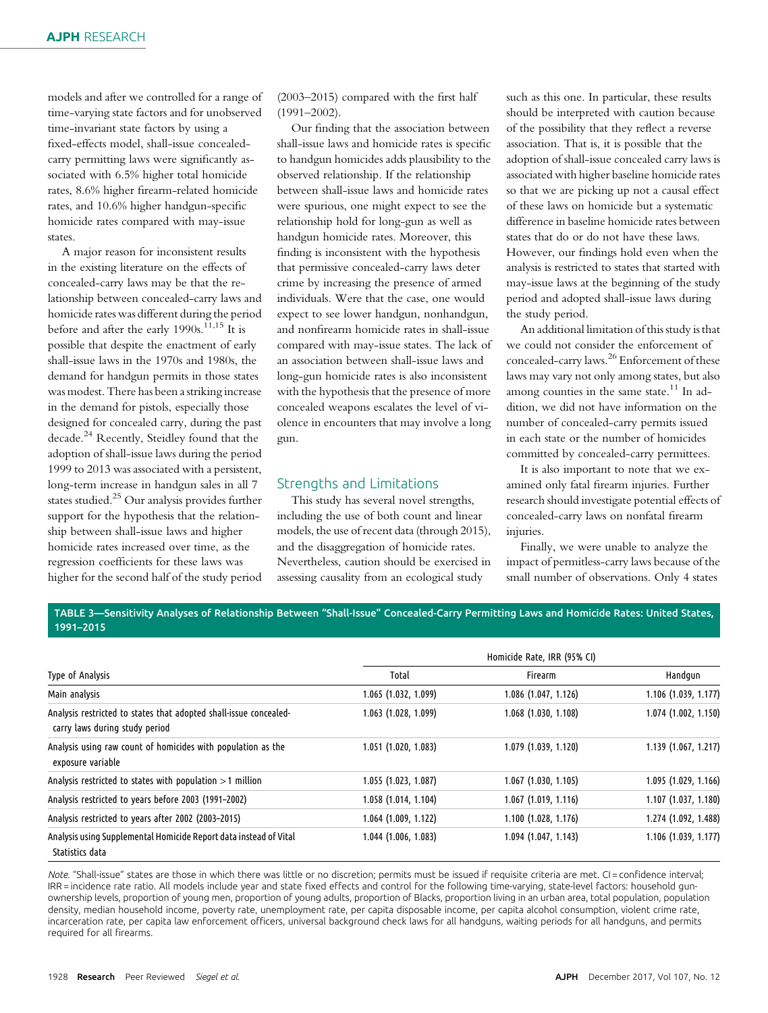models and after we controlled for a range of time-varying state factors and for unobserved time-invariant state factors by using a fixed-effects model, shall-issue concealedcarry permitting laws were significantly associated with 6.5% higher total homicide rates, 8.6% higher firearm-related homicide rates, and 10.6% higher handgun-specific homicide rates compared with may-issue states.

A major reason for inconsistent results in the existing literature on the effects of concealed-carry laws may be that the relationship between concealed-carry laws and homicide rates was different during the period before and after the early 1990s.<sup>11,15</sup> It is possible that despite the enactment of early shall-issue laws in the 1970s and 1980s, the demand for handgun permits in those states was modest. There has been a striking increase in the demand for pistols, especially those designed for concealed carry, during the past decade.<sup>24</sup> Recently, Steidley found that the adoption of shall-issue laws during the period 1999 to 2013 was associated with a persistent, long-term increase in handgun sales in all 7 states studied.<sup>25</sup> Our analysis provides further support for the hypothesis that the relationship between shall-issue laws and higher homicide rates increased over time, as the regression coefficients for these laws was higher for the second half of the study period

(2003–2015) compared with the first half (1991–2002).

Our finding that the association between shall-issue laws and homicide rates is specific to handgun homicides adds plausibility to the observed relationship. If the relationship between shall-issue laws and homicide rates were spurious, one might expect to see the relationship hold for long-gun as well as handgun homicide rates. Moreover, this finding is inconsistent with the hypothesis that permissive concealed-carry laws deter crime by increasing the presence of armed individuals. Were that the case, one would expect to see lower handgun, nonhandgun, and nonfirearm homicide rates in shall-issue compared with may-issue states. The lack of an association between shall-issue laws and long-gun homicide rates is also inconsistent with the hypothesis that the presence of more concealed weapons escalates the level of violence in encounters that may involve a long gun.

## Strengths and Limitations

This study has several novel strengths, including the use of both count and linear models, the use of recent data (through 2015), and the disaggregation of homicide rates. Nevertheless, caution should be exercised in assessing causality from an ecological study

such as this one. In particular, these results should be interpreted with caution because of the possibility that they reflect a reverse association. That is, it is possible that the adoption of shall-issue concealed carry laws is associated with higher baseline homicide rates so that we are picking up not a causal effect of these laws on homicide but a systematic difference in baseline homicide rates between states that do or do not have these laws. However, our findings hold even when the analysis is restricted to states that started with may-issue laws at the beginning of the study period and adopted shall-issue laws during the study period.

An additional limitation of this study is that we could not consider the enforcement of concealed-carry laws.<sup>26</sup> Enforcement of these laws may vary not only among states, but also among counties in the same state.<sup>11</sup> In addition, we did not have information on the number of concealed-carry permits issued in each state or the number of homicides committed by concealed-carry permittees.

It is also important to note that we examined only fatal firearm injuries. Further research should investigate potential effects of concealed-carry laws on nonfatal firearm injuries.

Finally, we were unable to analyze the impact of permitless-carry laws because of the small number of observations. Only 4 states

TABLE 3—Sensitivity Analyses of Relationship Between "Shall-Issue" Concealed-Carry Permitting Laws and Homicide Rates: United States, 1991–2015

|                                                                                                     | Homicide Rate, IRR (95% CI) |                        |                      |  |
|-----------------------------------------------------------------------------------------------------|-----------------------------|------------------------|----------------------|--|
| Type of Analysis                                                                                    | Total                       | Firearm                | Handqun              |  |
| Main analysis                                                                                       | 1.065 (1.032, 1.099)        | 1.086 (1.047, 1.126)   | 1.106 (1.039, 1.177) |  |
| Analysis restricted to states that adopted shall-issue concealed-<br>carry laws during study period | 1.063 (1.028, 1.099)        | 1.068 (1.030, 1.108)   | 1.074 (1.002, 1.150) |  |
| Analysis using raw count of homicides with population as the<br>exposure variable                   | 1.051 (1.020, 1.083)        | 1.079 (1.039, 1.120)   | 1.139 (1.067, 1.217) |  |
| Analysis restricted to states with population $>1$ million                                          | 1.055 (1.023, 1.087)        | $1.067$ (1.030, 1.105) | 1.095 (1.029, 1.166) |  |
| Analysis restricted to years before 2003 (1991-2002)                                                | 1.058 (1.014, 1.104)        | $1.067$ (1.019, 1.116) | 1.107 (1.037, 1.180) |  |
| Analysis restricted to years after 2002 (2003-2015)                                                 | 1.064 (1.009, 1.122)        | 1.100(1.028, 1.176)    | 1.274 (1.092, 1.488) |  |
| Analysis using Supplemental Homicide Report data instead of Vital<br>Statistics data                | 1.044 (1.006, 1.083)        | 1.094 (1.047, 1.143)   | 1.106 (1.039, 1.177) |  |

Note. "Shall-issue" states are those in which there was little or no discretion; permits must be issued if requisite criteria are met. CI = confidence interval; IRR = incidence rate ratio. All models include year and state fixed effects and control for the following time-varying, state-level factors: household gunownership levels, proportion of young men, proportion of young adults, proportion of Blacks, proportion living in an urban area, total population, population density, median household income, poverty rate, unemployment rate, per capita disposable income, per capita alcohol consumption, violent crime rate, incarceration rate, per capita law enforcement officers, universal background check laws for all handguns, waiting periods for all handguns, and permits required for all firearms.